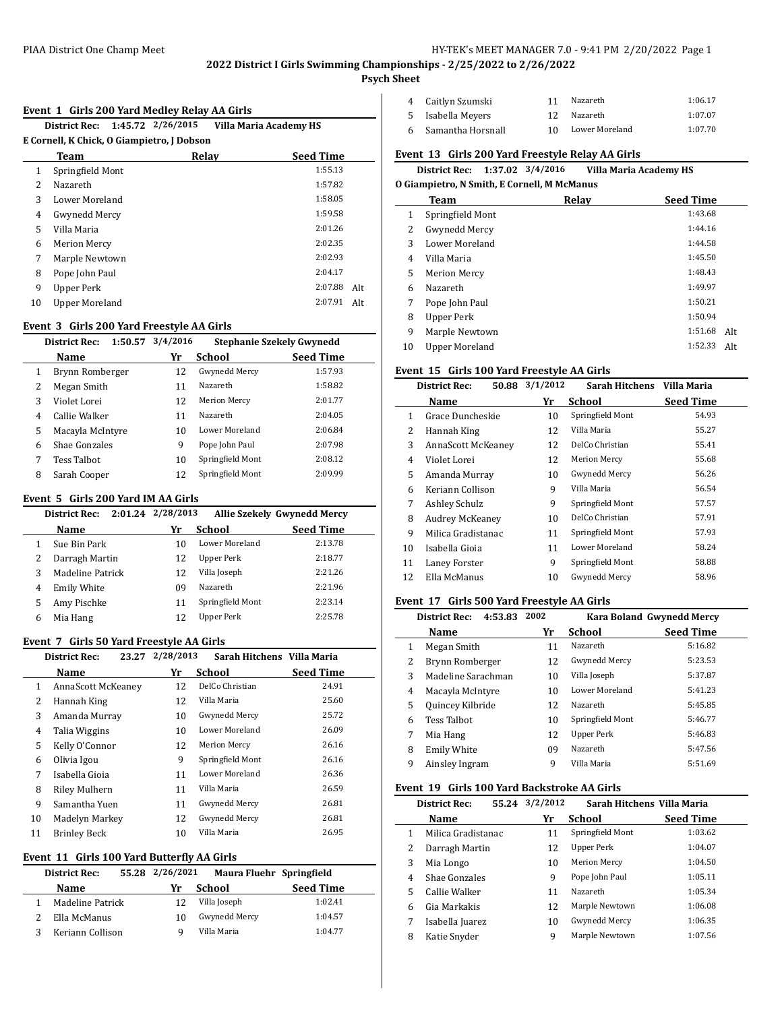#### PIAA District One Champ Meet **HY-TEK's MEET MANAGER 7.0 - 9:41 PM 2/20/2022** Page 1

**2022 District I Girls Swimming Championships - 2/25/2022 to 2/26/2022**

 $\overline{\phantom{a}}$ 

 $\overline{a}$ 

J.

## **Psych Sheet**

#### **Event 1 Girls 200 Yard Medley Relay AA Girls**

| 1:45.72 2/26/2015<br><b>District Rec:</b><br><b>Villa Maria Academy HS</b> |                                            |       |                  |     |  |  |  |
|----------------------------------------------------------------------------|--------------------------------------------|-------|------------------|-----|--|--|--|
|                                                                            | E Cornell, K Chick, O Giampietro, J Dobson |       |                  |     |  |  |  |
|                                                                            | Team                                       | Relay | <b>Seed Time</b> |     |  |  |  |
| 1                                                                          | Springfield Mont                           |       | 1:55.13          |     |  |  |  |
| $\overline{\mathcal{L}}$                                                   | Nazareth                                   |       | 1:57.82          |     |  |  |  |
| 3                                                                          | Lower Moreland                             |       | 1:58.05          |     |  |  |  |
| 4                                                                          | Gwynedd Mercy                              |       | 1:59.58          |     |  |  |  |
| 5                                                                          | Villa Maria                                |       | 2:01.26          |     |  |  |  |
| 6                                                                          | <b>Merion Mercy</b>                        |       | 2:02.35          |     |  |  |  |
| 7                                                                          | Marple Newtown                             |       | 2:02.93          |     |  |  |  |
| 8                                                                          | Pope John Paul                             |       | 2:04.17          |     |  |  |  |
| 9                                                                          | Upper Perk                                 |       | 2:07.88          | Alt |  |  |  |
| 10                                                                         | Upper Moreland                             |       | 2:07.91          | Alt |  |  |  |

## **Event 3 Girls 200 Yard Freestyle AA Girls**

|   | 1:50.57<br><b>District Rec:</b> | 3/4/2016 | <b>Stephanie Szekely Gwynedd</b> |                  |
|---|---------------------------------|----------|----------------------------------|------------------|
|   | Name                            | Yr       | School                           | <b>Seed Time</b> |
| 1 | Brynn Romberger                 | 12       | Gwynedd Mercy                    | 1:57.93          |
| 2 | Megan Smith                     | 11       | Nazareth                         | 1:58.82          |
| 3 | Violet Lorei                    | 12       | <b>Merion Mercy</b>              | 2:01.77          |
| 4 | Callie Walker                   | 11       | Nazareth                         | 2:04.05          |
| 5 | Macayla McIntyre                | 10       | Lower Moreland                   | 2:06.84          |
| 6 | Shae Gonzales                   | 9        | Pope John Paul                   | 2:07.98          |
| 7 | Tess Talbot                     | 10       | Springfield Mont                 | 2:08.12          |
| 8 | Sarah Cooper                    | 12       | Springfield Mont                 | 2:09.99          |
|   |                                 |          |                                  |                  |

## **Event 5 Girls 200 Yard IM AA Girls**

|   | <b>District Rec:</b> | $2:01.24$ $2/28/2013$ |                  | <b>Allie Szekely Gwynedd Mercy</b> |
|---|----------------------|-----------------------|------------------|------------------------------------|
|   | Name                 | Yr                    | <b>School</b>    | <b>Seed Time</b>                   |
|   | Sue Bin Park         | 10                    | Lower Moreland   | 2:13.78                            |
|   | Darragh Martin       | 12                    | Upper Perk       | 2:18.77                            |
|   | Madeline Patrick     | 12                    | Villa Joseph     | 2:21.26                            |
| 4 | <b>Emily White</b>   | 09                    | Nazareth         | 2:21.96                            |
| 5 | Amy Pischke          | 11                    | Springfield Mont | 2:23.14                            |
| 6 | Mia Hang             | 12                    | Upper Perk       | 2:25.78                            |

## **Event 7 Girls 50 Yard Freestyle AA Girls**

|    | <b>District Rec:</b><br>23.27 | 2/28/2013 | Sarah Hitchens Villa Maria |           |
|----|-------------------------------|-----------|----------------------------|-----------|
|    | Name                          | Yr        | School                     | Seed Time |
| 1  | AnnaScott McKeaney            | 12        | DelCo Christian            | 24.91     |
| 2  | Hannah King                   | 12        | Villa Maria                | 25.60     |
| 3  | Amanda Murray                 | 10        | Gwynedd Mercy              | 25.72     |
| 4  | Talia Wiggins                 | 10        | Lower Moreland             | 26.09     |
| 5  | Kelly O'Connor                | 12        | <b>Merion Mercy</b>        | 26.16     |
| 6  | Olivia Igou                   | 9         | Springfield Mont           | 26.16     |
| 7  | Isabella Gioja                | 11        | Lower Moreland             | 26.36     |
| 8  | Riley Mulhern                 | 11        | Villa Maria                | 26.59     |
| 9  | Samantha Yuen                 | 11        | Gwynedd Mercy              | 26.81     |
| 10 | Madelyn Markey                | 12        | Gwynedd Mercy              | 26.81     |
| 11 | <b>Brinley Beck</b>           | 10        | Villa Maria                | 26.95     |

# **Event 11 Girls 100 Yard Butterfly AA Girls**

| <b>District Rec:</b> | 55.28 2/26/2021<br>Maura Fluehr Springfield |               |                  |  |
|----------------------|---------------------------------------------|---------------|------------------|--|
| Name                 | Yr                                          | School        | <b>Seed Time</b> |  |
| Madeline Patrick     | 12                                          | Villa Joseph  | 1:02.41          |  |
| Ella McManus         | 10                                          | Gwynedd Mercy | 1:04.57          |  |
| Keriann Collison     | a                                           | Villa Maria   | 1:04.77          |  |

| 4 Caitlyn Szumski   |    | Nazareth       | 1:06.17 |
|---------------------|----|----------------|---------|
| 5 Isabella Meyers   |    | Nazareth       | 1:07.07 |
| 6 Samantha Horsnall | 10 | Lower Moreland | 1:07.70 |

### **Event 13 Girls 200 Yard Freestyle Relay AA Girls**

| District Rec: 1:37.02 3/4/2016 |  |  |  |  | <b>Villa Maria Academy HS</b> |
|--------------------------------|--|--|--|--|-------------------------------|
|--------------------------------|--|--|--|--|-------------------------------|

| O Giampietro, N Smith, E Cornell, M McManus |  |  |
|---------------------------------------------|--|--|
|                                             |  |  |

|                       |      | <b>Seed Time</b> |
|-----------------------|------|------------------|
| Springfield Mont      |      | 1:43.68          |
| Gwynedd Mercy         |      | 1:44.16          |
| Lower Moreland        |      | 1:44.58          |
| Villa Maria           |      | 1:45.50          |
| <b>Merion Mercy</b>   |      | 1:48.43          |
| Nazareth              |      | 1:49.97          |
| Pope John Paul        |      | 1:50.21          |
| Upper Perk            |      | 1:50.94          |
| Marple Newtown        |      | 1:51.68<br>Alt.  |
| <b>Upper Moreland</b> |      | 1:52.33<br>Alt.  |
|                       | Team | Relay            |

#### **Event 15 Girls 100 Yard Freestyle AA Girls**

|    | <b>District Rec:</b><br>50.88 | 3/1/2012 | Sarah Hitchens      | Villa Maria      |
|----|-------------------------------|----------|---------------------|------------------|
|    | Name                          | Yr       | School              | <b>Seed Time</b> |
| 1  | Grace Duncheskie              | 10       | Springfield Mont    | 54.93            |
| 2  | Hannah King                   | 12       | Villa Maria         | 55.27            |
| 3  | AnnaScott McKeaney            | 12       | DelCo Christian     | 55.41            |
| 4  | Violet Lorei                  | 12       | <b>Merion Mercy</b> | 55.68            |
| 5  | Amanda Murray                 | 10       | Gwynedd Mercy       | 56.26            |
| 6  | Keriann Collison              | 9        | Villa Maria         | 56.54            |
| 7  | Ashley Schulz                 | 9        | Springfield Mont    | 57.57            |
| 8  | <b>Audrey McKeaney</b>        | 10       | DelCo Christian     | 57.91            |
| 9  | Milica Gradistanac            | 11       | Springfield Mont    | 57.93            |
| 10 | Isabella Gioia                | 11       | Lower Moreland      | 58.24            |
| 11 | Laney Forster                 | 9        | Springfield Mont    | 58.88            |
| 12 | Ella McManus                  | 10       | Gwynedd Mercy       | 58.96            |

## **Event 17 Girls 500 Yard Freestyle AA Girls**

| 2002<br>4:53.83<br><b>District Rec:</b> |                    | Kara Boland Gwynedd Mercy |                  |                  |
|-----------------------------------------|--------------------|---------------------------|------------------|------------------|
|                                         | Name               | Yr                        | School           | <b>Seed Time</b> |
| 1                                       | Megan Smith        | 11                        | Nazareth         | 5:16.82          |
| 2                                       | Brynn Romberger    | 12                        | Gwynedd Mercy    | 5:23.53          |
| 3                                       | Madeline Sarachman | 10                        | Villa Joseph     | 5:37.87          |
| 4                                       | Macayla McIntyre   | 10                        | Lower Moreland   | 5:41.23          |
| 5                                       | Quincey Kilbride   | 12                        | Nazareth         | 5:45.85          |
| 6                                       | <b>Tess Talbot</b> | 10                        | Springfield Mont | 5:46.77          |
| 7                                       | Mia Hang           | 12                        | Upper Perk       | 5:46.83          |
| 8                                       | <b>Emily White</b> | 09                        | Nazareth         | 5:47.56          |
| 9                                       | Ainsley Ingram     | 9                         | Villa Maria      | 5:51.69          |

### **Event 19 Girls 100 Yard Backstroke AA Girls**

| 55.24<br><b>District Rec:</b> |   | 3/2/2012<br>Sarah Hitchens Villa Maria |    |                  |                  |
|-------------------------------|---|----------------------------------------|----|------------------|------------------|
|                               |   | <b>Name</b>                            | Yr | School           | <b>Seed Time</b> |
|                               | 1 | Milica Gradistanac                     | 11 | Springfield Mont | 1:03.62          |
|                               | 2 | Darragh Martin                         | 12 | Upper Perk       | 1:04.07          |
|                               | 3 | Mia Longo                              | 10 | Merion Mercy     | 1:04.50          |
|                               | 4 | Shae Gonzales                          | 9  | Pope John Paul   | 1:05.11          |
|                               | 5 | Callie Walker                          | 11 | Nazareth         | 1:05.34          |
|                               | 6 | Gia Markakis                           | 12 | Marple Newtown   | 1:06.08          |
|                               | 7 | Isabella Juarez                        | 10 | Gwynedd Mercy    | 1:06.35          |
|                               | 8 | Katie Snyder                           | 9  | Marple Newtown   | 1:07.56          |